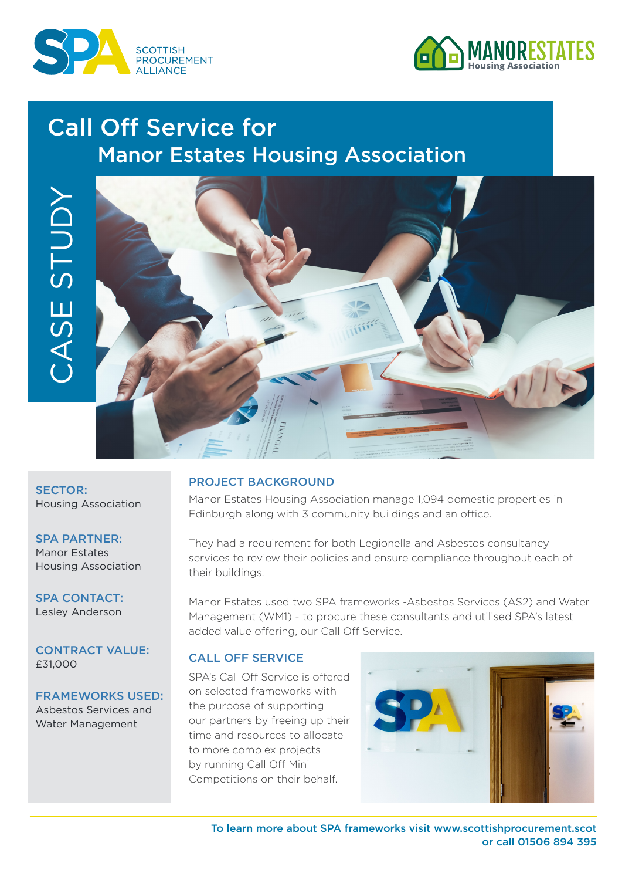



## Call Off Service for Manor Estates Housing Association



SECTOR: Housing Association

SPA PARTNER: Manor Estates Housing Association

SPA CONTACT: Lesley Anderson

CONTRACT VALUE: £31,000

FRAMEWORKS USED:

Asbestos Services and Water Management

## PROJECT BACKGROUND

Manor Estates Housing Association manage 1,094 domestic properties in Edinburgh along with 3 community buildings and an office.

They had a requirement for both Legionella and Asbestos consultancy services to review their policies and ensure compliance throughout each of their buildings.

Manor Estates used two SPA frameworks -Asbestos Services (AS2) and Water Management (WM1) - to procure these consultants and utilised SPA's latest added value offering, our Call Off Service.

## CALL OFF SERVICE

SPA's Call Off Service is offered on selected frameworks with the purpose of supporting our partners by freeing up their time and resources to allocate to more complex projects by running Call Off Mini Competitions on their behalf.